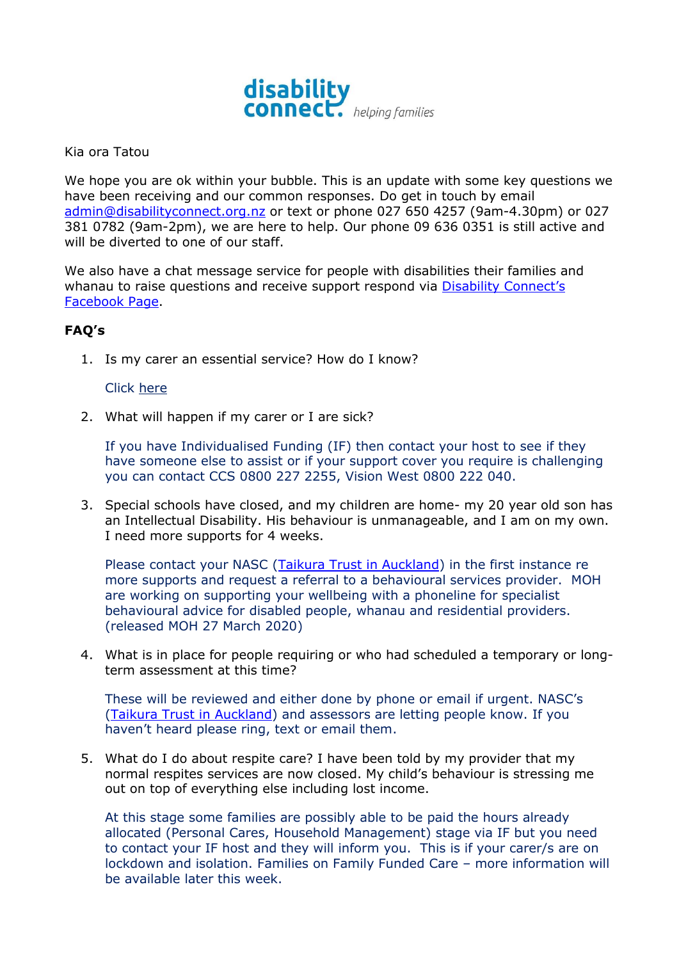

Kia ora Tatou

We hope you are ok within your bubble. This is an update with some key questions we have been receiving and our common responses. Do get in touch by email admin@disabilityconnect.org.nz or text or phone 027 650 4257 (9am-4.30pm) or 027 381 0782 (9am-2pm), we are here to help. Our phone 09 636 0351 is still active and will be diverted to one of our staff.

We also have a chat message service for people with disabilities their families and whanau to raise questions and receive support respond via Disability Connect's Facebook Page.

## **FAQ's**

1. Is my carer an essential service? How do I know?

## Click here

2. What will happen if my carer or I are sick?

If you have Individualised Funding (IF) then contact your host to see if they have someone else to assist or if your support cover you require is challenging you can contact CCS 0800 227 2255, Vision West 0800 222 040.

3. Special schools have closed, and my children are home- my 20 year old son has an Intellectual Disability. His behaviour is unmanageable, and I am on my own. I need more supports for 4 weeks.

Please contact your NASC (Taikura Trust in Auckland) in the first instance re more supports and request a referral to a behavioural services provider. MOH are working on supporting your wellbeing with a phoneline for specialist behavioural advice for disabled people, whanau and residential providers. (released MOH 27 March 2020)

4. What is in place for people requiring or who had scheduled a temporary or longterm assessment at this time?

These will be reviewed and either done by phone or email if urgent. NASC's (Taikura Trust in Auckland) and assessors are letting people know. If you haven't heard please ring, text or email them.

5. What do I do about respite care? I have been told by my provider that my normal respites services are now closed. My child's behaviour is stressing me out on top of everything else including lost income.

At this stage some families are possibly able to be paid the hours already allocated (Personal Cares, Household Management) stage via IF but you need to contact your IF host and they will inform you. This is if your carer/s are on lockdown and isolation. Families on Family Funded Care – more information will be available later this week.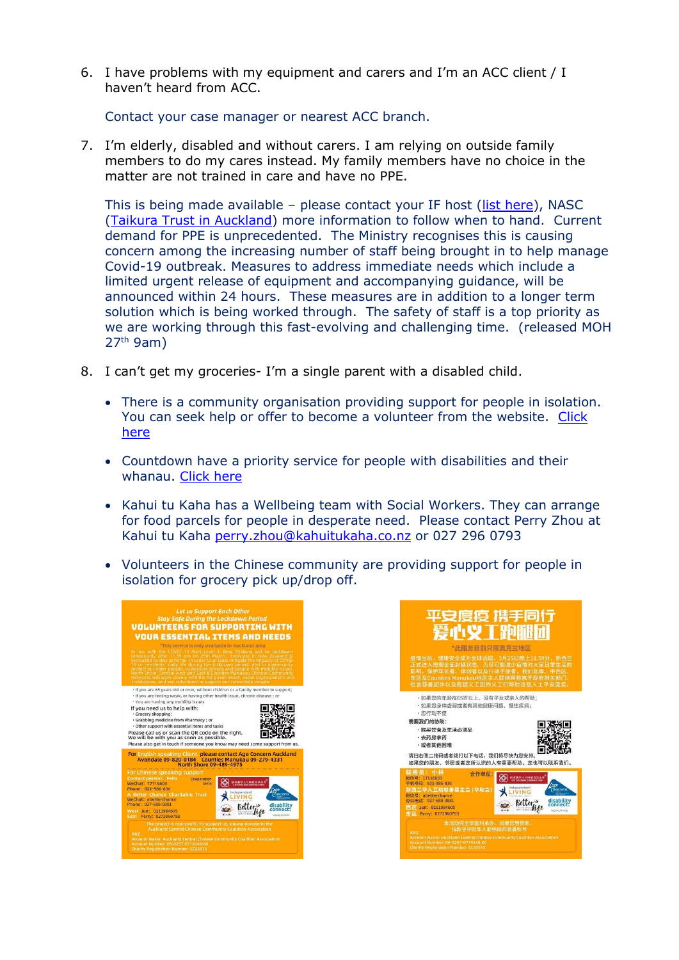6. I have problems with my equipment and carers and I'm an ACC client / I haven't heard from ACC.

Contact your case manager or nearest ACC branch.

7. I'm elderly, disabled and without carers. I am relying on outside family members to do my cares instead. My family members have no choice in the matter are not trained in care and have no PPE.

This is being made available – please contact your IF host (list here), NASC (Taikura Trust in Auckland) more information to follow when to hand. Current demand for PPE is unprecedented. The Ministry recognises this is causing concern among the increasing number of staff being brought in to help manage Covid-19 outbreak. Measures to address immediate needs which include a limited urgent release of equipment and accompanying guidance, will be announced within 24 hours. These measures are in addition to a longer term solution which is being worked through. The safety of staff is a top priority as we are working through this fast-evolving and challenging time. (released MOH 27th 9am)

- 8. I can't get my groceries- I'm a single parent with a disabled child.
	- There is a community organisation providing support for people in isolation. You can seek help or offer to become a volunteer from the website. Click here
	- Countdown have a priority service for people with disabilities and their whanau. Click here
	- Kahui tu Kaha has a Wellbeing team with Social Workers. They can arrange for food parcels for people in desperate need. Please contact Perry Zhou at Kahui tu Kaha perry.zhou@kahuitukaha.co.nz or 027 296 0793
	- Volunteers in the Chinese community are providing support for people in isolation for grocery pick up/drop off.